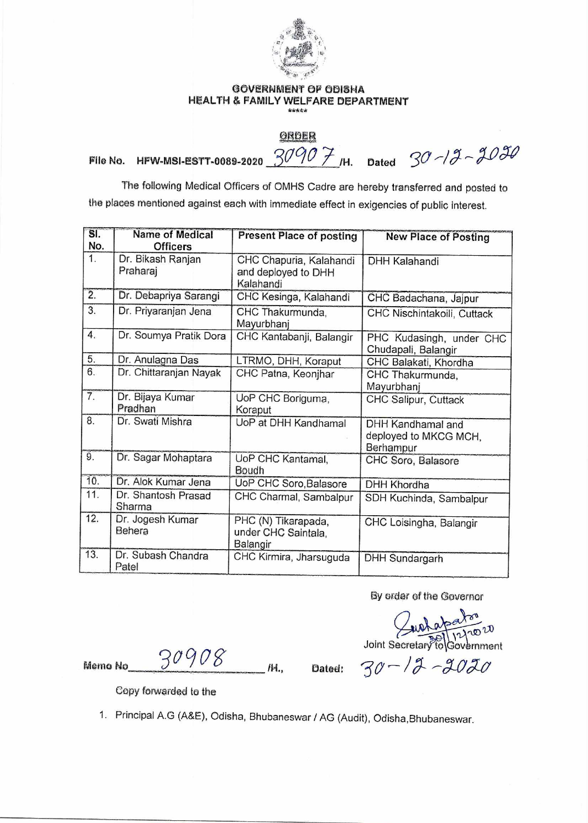

## GOVERNMENT OF ODISHA HEALTH & FAMILY WELFARE DEPARTMENT

<u>GRDER</u><br>File No. HFW-MSI-ESTT-0089-2020  $\frac{90907}{1}$ /H. Dated  $30$  -13 - 2030

The following Medical Officers of OMHS Cadre are hereby transferred and posted to the places mentioned against each with immediate effect in exigencies of public interest. Present Place of posting **Present Place of posting Present Place of posting Present Place of posting <b>New Place of Posting** 

| SI.<br>No.       | <b>Name of Medical</b><br><b>Officers</b> | <b>Present Place of posting</b>                             | <b>New Place of Posting</b>                             |
|------------------|-------------------------------------------|-------------------------------------------------------------|---------------------------------------------------------|
| 1.               | Dr. Bikash Ranjan<br>Praharaj             | CHC Chapuria, Kalahandi<br>and deployed to DHH<br>Kalahandi | <b>DHH Kalahandi</b>                                    |
| $\overline{2}$ . | Dr. Debapriya Sarangi                     | CHC Kesinga, Kalahandi                                      | CHC Badachana, Jajpur                                   |
| 3 <sub>1</sub>   | Dr. Priyaranjan Jena                      | CHC Thakurmunda,<br>Mayurbhanj                              | CHC Nischintakoili, Cuttack                             |
| 4.               | Dr. Soumya Pratik Dora                    | CHC Kantabanji, Balangir                                    | PHC Kudasingh, under CHC<br>Chudapali, Balangir         |
| 5.               | Dr. Anulagna Das                          | LTRMO, DHH, Koraput                                         | CHC Balakati, Khordha                                   |
| 6.               | Dr. Chittaranjan Nayak                    | CHC Patna, Keonjhar                                         | CHC Thakurmunda,<br>Mayurbhanj                          |
| 7.               | Dr. Bijaya Kumar<br>Pradhan               | UoP CHC Boriguma,<br>Koraput                                | CHC Salipur, Cuttack                                    |
| 8.               | Dr. Swati Mishra                          | UoP at DHH Kandhamal                                        | DHH Kandhamal and<br>deployed to MKCG MCH,<br>Berhampur |
| 9.               | Dr. Sagar Mohaptara                       | UoP CHC Kantamal,<br>Boudh                                  | CHC Soro, Balasore                                      |
| 10.              | Dr. Alok Kumar Jena                       | UoP CHC Soro, Balasore                                      | DHH Khordha                                             |
| 11.              | Dr. Shantosh Prasad<br>Sharma             | CHC Charmal, Sambalpur                                      | SDH Kuchinda, Sambalpur                                 |
| 12.              | Dr. Jogesh Kumar<br>Behera                | PHC (N) Tikarapada,<br>under CHC Saintala,<br>Balangir      | CHC Loisingha, Balangir                                 |
| 13.              | Dr. Subash Chandra<br>Patel               | CHC Kirmira, Jharsuguda                                     | <b>DHH Sundargarh</b>                                   |

By order of the Governor

Quatabaton<br>Joint Secretary to Government

Memo No $\frac{30908}{\mu}$  /H., Dated:

 $30 - 12 - 2020$ 

Copy forwarded to the

1. Principal A.G (A&E), Odisha, Bhubaneswar / AG (Audit), Odisha,Bhubaneswar.